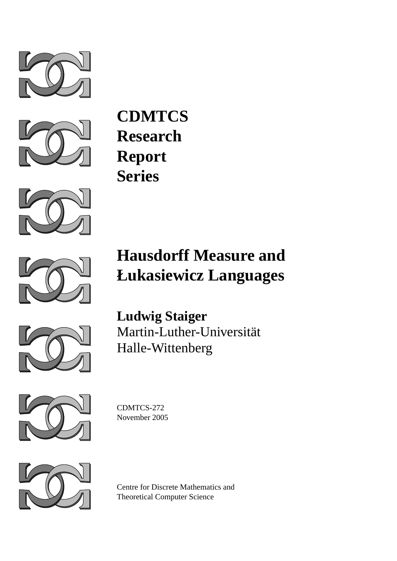



**CDMTCS Research Report Series**







**Ludwig Staiger** Martin-Luther-Universitat¨ Halle-Wittenberg



CDMTCS-272 November 2005



Centre for Discrete Mathematics and Theoretical Computer Science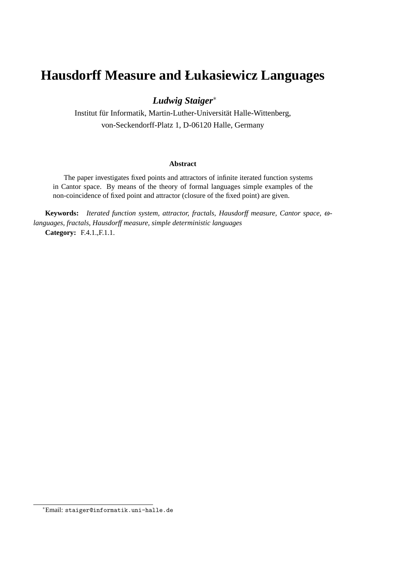# **Hausdorff Measure and Łukasiewicz Languages**

### *Ludwig Staiger*<sup>∗</sup>

Institut für Informatik, Martin-Luther-Universität Halle-Wittenberg, von-Seckendorff-Platz 1, D-06120 Halle, Germany

#### **Abstract**

The paper investigates fixed points and attractors of infinite iterated function systems in Cantor space. By means of the theory of formal languages simple examples of the non-coincidence of fixed point and attractor (closure of the fixed point) are given.

**Keywords:** *Iterated function system, attractor, fractals, Hausdorff measure, Cantor space,* ω*languages, fractals, Hausdorff measure, simple deterministic languages* **Category:** F.4.1.,F.1.1.

<sup>∗</sup>Email: staiger@informatik.uni-halle.de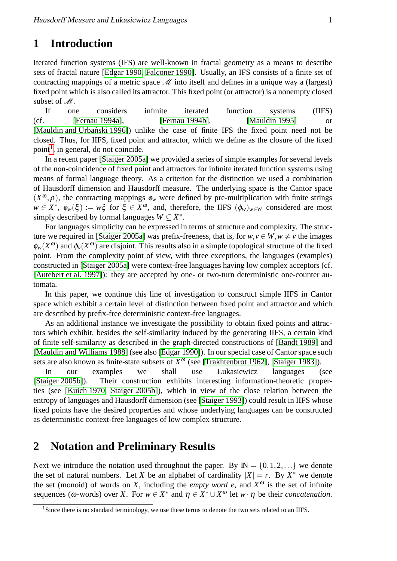# **1 Introduction**

Iterated function systems (IFS) are well-known in fractal geometry as a means to describe sets of fractal nature [\[Edgar 1990,](#page-9-0) [Falconer 1990\]](#page-9-1). Usually, an IFS consists of a finite set of contracting mappings of a metric space  $M$  into itself and defines in a unique way a (largest) fixed point which is also called its attractor. This fixed point (or attractor) is a nonempty closed subset of  $\mathcal{M}$ .

If one considers infinite iterated function systems (IIFS) (cf. [\[Fernau 1994a\]](#page-9-2), [\[Fernau 1994b\]](#page-9-3), [\[Mauldin 1995\]](#page-10-0) or [Mauldin and Urbański 1996]) unlike the case of finite IFS the fixed point need not be closed. Thus, for IIFS, fixed point and attractor, which we define as the closure of the fixed point<sup>[1](#page-2-0)</sup>, in general, do not coincide.

In a recent paper [\[Staiger 2005a\]](#page-10-2) we provided a series of simple examples for several levels of the non-coincidence of fixed point and attractors for infinite iterated function systems using means of formal language theory. As a criterion for the distinction we used a combination of Hausdorff dimension and Hausdorff measure. The underlying space is the Cantor space  $(X^{\omega}, \rho)$ , the contracting mappings  $\phi_w$  were defined by pre-multiplication with finite strings  $w \in X^*$ ,  $\phi_w(\xi) := w\xi$  for  $\xi \in X^\omega$ , and, therefore, the IIFS  $(\phi_w)_{w \in W}$  considered are most simply described by formal languages  $W \subseteq X^*$ .

For languages simplicity can be expressed in terms of structure and complexity. The struc-ture we required in [\[Staiger 2005a\]](#page-10-2) was prefix-freeness, that is, for  $w, v \in W, w \neq v$  the images  $\phi_w(X^{\omega})$  and  $\phi_v(X^{\omega})$  are disjoint. This results also in a simple topological structure of the fixed point. From the complexity point of view, with three exceptions, the languages (examples) constructed in [\[Staiger 2005a\]](#page-10-2) were context-free languages having low complex acceptors (cf. [\[Autebert et al. 1997\]](#page-9-4)): they are accepted by one- or two-turn deterministic one-counter automata.

In this paper, we continue this line of investigation to construct simple IIFS in Cantor space which exhibit a certain level of distinction between fixed point and attractor and which are described by prefix-free deterministic context-free languages.

As an additional instance we investigate the possibility to obtain fixed points and attractors which exhibit, besides the self-similarity induced by the generating IIFS, a certain kind of finite self-similarity as described in the graph-directed constructions of [\[Bandt 1989\]](#page-9-5) and [\[Mauldin and Williams 1988\]](#page-10-3) (see also [\[Edgar 1990\]](#page-9-0)). In our special case of Cantor space such sets are also known as finite-state subsets of  $X^{\omega}$  (see [\[Trakhtenbrot 1962\]](#page-10-4), [\[Staiger 1983\]](#page-10-5)).

In our examples we shall use Łukasiewicz languages (see [\[Staiger 2005b\]](#page-10-6)). Their construction exhibits interesting information-theoretic properties (see [\[Kuich 1970,](#page-9-6) [Staiger 2005b\]](#page-10-6)), which in view of the close relation between the entropy of languages and Hausdorff dimension (see [\[Staiger 1993\]](#page-10-7)) could result in IIFS whose fixed points have the desired properties and whose underlying languages can be constructed as deterministic context-free languages of low complex structure.

## **2 Notation and Preliminary Results**

Next we introduce the notation used throughout the paper. By  $\mathbb{N} = \{0, 1, 2, ...\}$  we denote the set of natural numbers. Let *X* be an alphabet of cardinality  $|X| = r$ . By  $X^*$  we denote the set (monoid) of words on *X*, including the *empty word e*, and  $X^{\omega}$  is the set of infinite sequences ( $\omega$ -words) over *X*. For  $w \in X^*$  and  $\eta \in X^* \cup X^{\omega}$  let  $w \cdot \eta$  be their *concatenation*.

<span id="page-2-0"></span><sup>&</sup>lt;sup>1</sup>Since there is no standard terminology, we use these terms to denote the two sets related to an IIFS.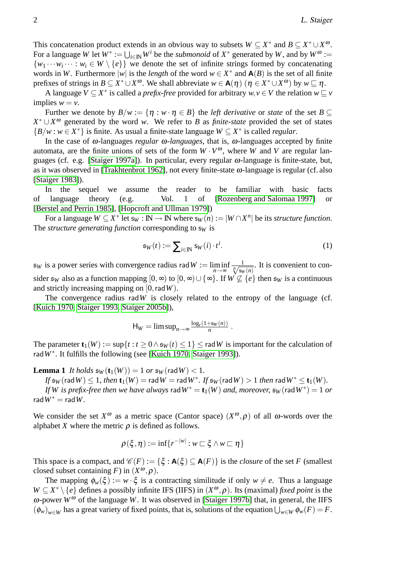This concatenation product extends in an obvious way to subsets  $W \subseteq X^*$  and  $B \subseteq X^* \cup X^{\omega}$ . For a language *W* let  $W^* := \bigcup_{i \in \mathbb{N}} W^i$  be the *submonoid* of  $X^*$  generated by *W*, and by  $W^{\omega} :=$  $\{w_1 \cdots w_i \cdots : w_i \in W \setminus \{e\}\}\$  we denote the set of infinite strings formed by concatenating words in *W*. Furthermore  $|w|$  is the *length* of the word  $w \in X^*$  and  $A(B)$  is the set of all finite prefixes of strings in  $B \subseteq X^* \cup X^{\omega}$ . We shall abbreviate  $w \in \mathbf{A}(\eta)$   $(\eta \in X^* \cup X^{\omega})$  by  $w \sqsubseteq \eta$ .

A language  $V \subseteq X^*$  is called a *prefix-free* provided for arbitrary  $w, v \in V$  the relation  $w \sqsubseteq v$ implies  $w = v$ .

Further we denote by  $B/w := \{\eta : w \cdot \eta \in B\}$  the *left derivative* or *state* of the set  $B \subset$  $X^* \cup X^{\omega}$  generated by the word *w*. We refer to *B* as *finite-state* provided the set of states { $B/w$  : *w* ∈ *X*<sup>\*</sup>} is finite. As usual a finite-state language  $W ⊆ X^*$  is called *regular*.

In the case of ω-languages *regular* ω*-languages*, that is, ω-languages accepted by finite automata, are the finite unions of sets of the form  $W \cdot V^{\omega}$ , where *W* and *V* are regular languages (cf. e.g. [\[Staiger 1997a\]](#page-10-8)). In particular, every regular ω-language is finite-state, but, as it was observed in [\[Trakhtenbrot 1962\]](#page-10-4), not every finite-state  $\omega$ -language is regular (cf. also [\[Staiger 1983\]](#page-10-5)).

In the sequel we assume the reader to be familiar with basic facts of language theory (e.g. Vol. 1 of [\[Rozenberg and Salomaa 1997\]](#page-10-9) or [\[Berstel and Perrin 1985\]](#page-9-7), [\[Hopcroft and Ullman 1979\]](#page-9-8))

For a language  $W \subseteq X^*$  let  $s_W : \mathbb{N} \to \mathbb{N}$  where  $s_W(n) := |W \cap X^n|$  be its *structure function*. The *structure generating function* corresponding to  $s_W$  is

$$
\mathfrak{s}_W(t) := \sum_{i \in \mathbb{N}} \mathfrak{s}_W(i) \cdot t^i. \tag{1}
$$

 $\mathfrak{s}_W$  is a power series with convergence radius rad  $W := \liminf_{n \to \infty}$  $\frac{1}{\sqrt[n]{s_W(n)}}$ . It is convenient to consider  $\mathfrak{s}_W$  also as a function mapping  $[0, \infty)$  to  $[0, \infty) \cup {\infty}$ . If  $W \nsubseteq {\{e\}}$  then  $\mathfrak{s}_W$  is a continuous and strictly increasing mapping on [0,rad*W*).

The convergence radius rad $W$  is closely related to the entropy of the language (cf. [\[Kuich 1970,](#page-9-6) [Staiger 1993,](#page-10-7) [Staiger 2005b\]](#page-10-6)),

<span id="page-3-0"></span>
$$
H_W = \limsup_{n \to \infty} \frac{\log_r(1 + s_W(n))}{n} \; .
$$

The parameter  $\mathbf{t}_1(W) := \sup\{t : t \geq 0 \land \mathfrak{s}_W(t) \leq 1\} \leq \text{rad }W$  is important for the calculation of rad*W*<sup>∗</sup> . It fulfills the following (see [\[Kuich 1970,](#page-9-6) [Staiger 1993\]](#page-10-7)).

**Lemma 1** *It holds*  $\mathfrak{s}_W(\mathbf{t}_1(W)) = 1$  *or*  $\mathfrak{s}_W(\text{rad }W) < 1$ *.* 

 $\iint \mathfrak{s}_W(\mathsf{rad}\,W) \leq 1$ , then  $\mathbf{t}_1(W) = \mathsf{rad}\,W = \mathsf{rad}\,W^*$ . If  $\mathfrak{s}_W(\mathsf{rad}\,W) > 1$  then  $\mathsf{rad}\,W^* \leq \mathbf{t}_1(W)$ .

*If*  $W$  is prefix-free then we have always  $\mathsf{rad}\,W^* = \mathbf{t}_1(W)$  and, moreover,  $\mathfrak{s}_W(\mathsf{rad}\,W^*) = 1$  or  $radW^* = radW$ .

We consider the set  $X^{\omega}$  as a metric space (Cantor space)  $(X^{\omega}, \rho)$  of all  $\omega$ -words over the alphabet *X* where the metric  $\rho$  is defined as follows.

$$
\rho(\xi,\eta):=\inf\{r^{-|w|}:w\sqsubset\xi\wedge w\sqsubset\eta\}
$$

This space is a compact, and  $\mathcal{C}(F) := \{ \xi : A(\xi) \subseteq A(F) \}$  is the *closure* of the set *F* (smallest closed subset containing *F*) in  $(X^{\omega}, \rho)$ .

The mapping  $\phi_w(\xi) := w \cdot \xi$  is a contracting similitude if only  $w \neq e$ . Thus a language  $W \subseteq X^* \setminus \{e\}$  defines a possibly infinite IFS (IIFS) in  $(X^{\omega}, \rho)$ . Its (maximal) *fixed point* is the  $ω$ -power  $W^ω$  of the language *W*. It was observed in [\[Staiger 1997b\]](#page-10-10) that, in general, the IIFS  $(\phi_w)_{w \in W}$  has a great variety of fixed points, that is, solutions of the equation  $\bigcup_{w \in W} \phi_w(F) = F$ .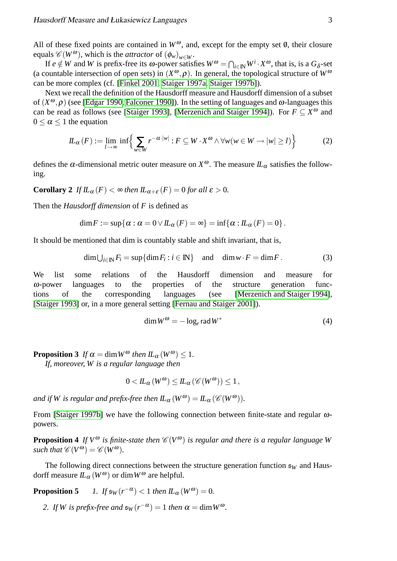All of these fixed points are contained in  $W^{\omega}$ , and, except for the empty set  $\theta$ , their closure equals  $\mathscr{C}(W^{\omega})$ , which is the *attractor* of  $(\phi_w)_{w \in W}$ .

If  $e \notin W$  and *W* is prefix-free its  $\omega$ -power satisfies  $W^{\omega} = \bigcap_{i \in \mathbb{N}} W^i \cdot X^{\omega}$ , that is, is a  $G_{\delta}$ -set (a countable intersection of open sets) in  $(X^{\omega}, \rho)$ . In general, the topological structure of  $W^{\omega}$ can be more complex (cf. [\[Finkel 2001,](#page-9-9) [Staiger 1997a,](#page-10-8) [Staiger 1997b\]](#page-10-10)).

Next we recall the definition of the Hausdorff measure and Hausdorff dimension of a subset of  $(X^{\omega}, \rho)$  (see [\[Edgar 1990,](#page-9-0) [Falconer 1990\]](#page-9-1)). In the setting of languages and  $\omega$ -languages this can be read as follows (see [\[Staiger 1993\]](#page-10-7), [\[Merzenich and Staiger 1994\]](#page-10-11)). For  $F \subseteq X^{\omega}$  and  $0 \leq \alpha \leq 1$  the equation

$$
I\!L_{\alpha}(F) := \lim_{l \to \infty} \inf \left\{ \sum_{w \in W} r^{-\alpha \cdot |w|} : F \subseteq W \cdot X^{\omega} \wedge \forall w (w \in W \to |w| \ge l) \right\} \tag{2}
$$

defines the  $\alpha$ -dimensional metric outer measure on  $X^{\omega}$ . The measure  $I\!L_{\alpha}$  satisfies the following.

**Corollary 2** *If*  $IL_{\alpha}(F) < \infty$  *then*  $IL_{\alpha+\varepsilon}(F) = 0$  *for all*  $\varepsilon > 0$ *.* 

Then the *Hausdorff dimension* of *F* is defined as

$$
\dim F := \sup \{ \alpha : \alpha = 0 \lor L_{\alpha}(F) = \infty \} = \inf \{ \alpha : L_{\alpha}(F) = 0 \}.
$$

It should be mentioned that dim is countably stable and shift invariant, that is,

$$
\dim \bigcup_{i \in \mathbb{N}} F_i = \sup \{ \dim F_i : i \in \mathbb{N} \} \quad \text{and} \quad \dim w \cdot F = \dim F. \tag{3}
$$

We list some relations of the Hausdorff dimension and measure for ω-power languages to the properties of the structure generation functions of the corresponding languages (see [\[Merzenich and Staiger 1994\]](#page-10-11), [\[Staiger 1993\]](#page-10-7) or, in a more general setting [\[Fernau and Staiger 2001\]](#page-9-10)).

<span id="page-4-0"></span>
$$
\dim W^{\omega} = -\log_r \operatorname{rad} W^* \tag{4}
$$

<span id="page-4-1"></span>**Proposition 3** *If*  $\alpha = \dim W^{\omega}$  *then*  $IL_{\alpha}(W^{\omega}) \leq 1$ *.* 

*If, moreover, W is a regular language then*

<span id="page-4-3"></span>
$$
0 < I\!L_{\alpha}(W^{\omega}) \leq I\!L_{\alpha}(\mathscr{C}(W^{\omega})) \leq 1,
$$

*and if W is regular and prefix-free then*  $IL_{\alpha}(W^{\omega}) = IL_{\alpha}(\mathcal{C}(W^{\omega}))$ *.* 

<span id="page-4-2"></span>From [\[Staiger 1997b\]](#page-10-10) we have the following connection between finite-state and regular ωpowers.

**Proposition 4** If  $V^{\omega}$  is finite-state then  $\mathscr{C}(V^{\omega})$  is regular and there is a regular language W *such that*  $\mathscr{C}(V^{\omega}) = \mathscr{C}(W^{\omega})$ *.* 

The following direct connections between the structure generation function  $\mathfrak{s}_W$  and Hausdorff measure  $IL_{\alpha}(W^{\omega})$  or dim  $W^{\omega}$  are helpful.

<span id="page-4-4"></span>**Proposition 5**  $\left( -\alpha \right) < 1$  *then*  $I\!I_{\alpha}(W^{\omega}) = 0$ *.* 

2. If *W* is prefix-free and  $\mathfrak{s}_W(r^{-\alpha}) = 1$  then  $\alpha = \dim W^{\omega}$ .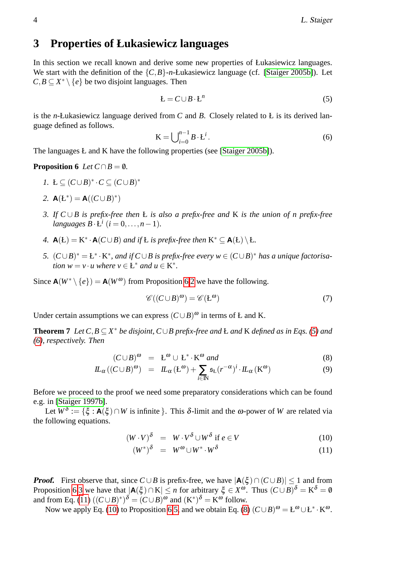# <span id="page-5-9"></span>**3 Properties of Łukasiewicz languages**

In this section we recall known and derive some new properties of Łukasiewicz languages. We start with the definition of the  $\{C, B\}$ -*n*-Łukasiewicz language (cf. [\[Staiger 2005b\]](#page-10-6)). Let  $C, B \subseteq X^* \setminus \{e\}$  be two disjoint languages. Then

<span id="page-5-2"></span>
$$
L = C \cup B \cdot L^n \tag{5}
$$

is the *n*-Łukasiewicz language derived from *C* and *B*. Closely related to Ł is its derived language defined as follows.

<span id="page-5-3"></span><span id="page-5-0"></span>
$$
\mathbf{K} = \bigcup_{i=0}^{n-1} B \cdot \mathbf{L}^i. \tag{6}
$$

The languages L and K have the following properties (see [\[Staiger 2005b\]](#page-10-6)).

#### **Proposition 6** *Let*  $C \cap B = \emptyset$ *.*

- *1*.  $L \subseteq (C \cup B)^* \cdot C \subseteq (C \cup B)^*$
- <span id="page-5-1"></span>2. **A**( $E^*$ ) = **A**(( $C \cup B$ )<sup>\*</sup>)
- <span id="page-5-4"></span>*3. If C* ∪ *B is prefix-free then* Ł *is also a prefix-free and* K *is the union of n prefix-free*  $languages B \cdot L^i$   $(i = 0, \ldots, n-1)$ *.*
- <span id="page-5-8"></span>4.  $\mathbf{A}(\mathbf{E}) = \mathbf{K}^* \cdot \mathbf{A}(C \cup B)$  *and if* **L** *is prefix-free then*  $\mathbf{K}^* \subseteq \mathbf{A}(\mathbf{E}) \setminus \mathbf{E}$ .
- <span id="page-5-6"></span>*5.*  $(C \cup B)^* = \mathbb{E}^* \cdot \mathbb{K}^*$ , and if  $C \cup B$  is prefix-free every  $w \in (C \cup B)^*$  has a unique factorisa*tion*  $w = v \cdot u$  *where*  $v \in L^*$  *and*  $u \in K^*$ *.*

Since  $\mathbf{A}(W^* \setminus \{e\}) = \mathbf{A}(W^{\omega})$  from Proposition [6.](#page-5-0)[2](#page-5-1) we have the following.

<span id="page-5-10"></span>
$$
\mathscr{C}((C \cup B)^{\omega}) = \mathscr{C}(E^{\omega})
$$
\n(7)

Under certain assumptions we can express  $(C \cup B)$ <sup> $\omega$ </sup> in terms of Ł and K.

**Theorem 7** *Let*  $C, B \subseteq X^*$  *be disjoint,*  $C \cup B$  *prefix-free and* **L** *and* **K** *defined as in Eqs.* [\(5\)](#page-5-2) *and [\(6\)](#page-5-3), respectively. Then*

<span id="page-5-7"></span>
$$
(C \cup B)^{\omega} = L^{\omega} \cup L^* \cdot K^{\omega} \text{ and } \tag{8}
$$

$$
I\!I_{\alpha}((C \cup B)^{\omega}) = I\!I_{\alpha}(\mathcal{L}^{\omega}) + \sum_{i \in \mathbb{N}} \mathfrak{s}_{\mathcal{L}}(r^{-\alpha})^i \cdot I\!I_{\alpha}(\mathcal{K}^{\omega}) \tag{9}
$$

Before we proceed to the proof we need some preparatory considerations which can be found e.g. in [\[Staiger 1997b\]](#page-10-10).

Let  $W^{\delta} := \{ \xi : A(\xi) \cap W$  is infinite  $\}.$  This  $\delta$ -limit and the  $\omega$ -power of W are related via the following equations.

<span id="page-5-5"></span>
$$
(W \cdot V)^{\delta} = W \cdot V^{\delta} \cup W^{\delta} \text{ if } e \in V \tag{10}
$$

$$
(W^*)^{\delta} = W^{\omega} \cup W^* \cdot W^{\delta} \tag{11}
$$

**Proof.** First observe that, since  $C \cup B$  is prefix-free, we have  $|A(\xi) \cap (C \cup B)| \le 1$  and from Proposition [6.](#page-5-0)[3](#page-5-4) we have that  $|A(\xi) \cap K| \le n$  for arbitrary  $\xi \in X^{\omega}$ . Thus  $(C \cup B)^{\delta} = K^{\delta} = \emptyset$ and from Eq. [\(11\)](#page-5-5)  $((C \cup B)^*)^{\delta} = (C \cup B)^{\omega}$  and  $(K^*)^{\delta} = K^{\omega}$  follow.

Now we apply Eq. [\(10\)](#page-5-5) to Proposition [6.](#page-5-0)[5,](#page-5-6) and we obtain Eq. [\(8\)](#page-5-7)  $(C \cup B)^{\omega} = L^{\omega} \cup L^* \cdot K^{\omega}$ .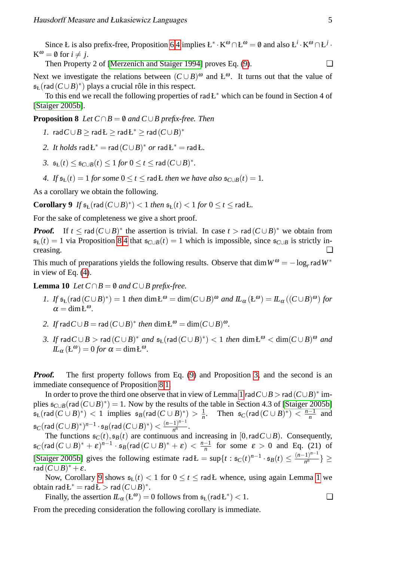Since Ł is also prefix-free, Proposition [6.](#page-5-0)[4](#page-5-8) implies  $L^* \cdot K^\omega \cap L^\omega = \emptyset$  and also  $L^i \cdot K^\omega \cap L^j$ .  $K^{\omega} = \emptyset$  for  $i \neq j$ .

Then Property 2 of [\[Merzenich and Staiger 1994\]](#page-10-11) proves Eq.  $(9)$ .

Next we investigate the relations between  $(C \cup B)$ <sup>ω</sup> and  $L^{\omega}$ . It turns out that the value of  $\mathfrak{s}_{L}(\text{rad}(C \cup B)^*)$  plays a crucial rôle in this respect.

To this end we recall the following properties of rad $E^*$  which can be found in Section 4 of [\[Staiger 2005b\]](#page-10-6).

<span id="page-6-2"></span>**Proposition 8** *Let*  $C \cap B = \emptyset$  *and*  $C \cup B$  *prefix-free. Then* 

<span id="page-6-0"></span>*1.* rad  $C \cup B$  ≥ rad Ł ≥ rad Ł<sup>\*</sup> ≥ rad  $(C \cup B)^*$ 

- 2. It holds  $\mathsf{rad} \mathsf{L}^* = \mathsf{rad} \, (C \cup B)^*$  or  $\mathsf{rad} \mathsf{L}^* = \mathsf{rad} \mathsf{L}$ .
- *3.*  $\mathfrak{s}_L(t)$  ≤  $\mathfrak{s}_{C\cup B}(t)$  ≤ 1 *for* 0 ≤ *t* ≤ rad( $C \cup B$ )<sup>\*</sup>.
- <span id="page-6-3"></span><span id="page-6-1"></span>*4. If*  $\mathfrak{s}_L(t) = 1$  *for some*  $0 \le t \le \text{rad}$ *E then we have also*  $\mathfrak{s}_{C\cup B}(t) = 1$ *.*

As a corollary we obtain the following.

**Corollary 9** *If*  $\mathfrak{s}_{\mathbf{k}}(\text{rad}(C \cup B)^*) < 1$  *then*  $\mathfrak{s}_{\mathbf{k}}(t) < 1$  *for*  $0 \le t \le \text{rad } E$ *.* 

For the sake of completeness we give a short proof.

**Proof.** If  $t \leq \text{rad}(C \cup B)^*$  the assertion is trivial. In case  $t > \text{rad}(C \cup B)^*$  we obtain from  $s_{\text{L}}(t) = 1$  via Proposition [8](#page-6-0)[.4](#page-6-1) that  $s_{\text{C} \cup \text{B}}(t) = 1$  which is impossible, since  $s_{\text{C} \cup \text{B}}$  is strictly increasing. ❏

This much of preparations yields the following results. Observe that  $\dim W^{\omega} = -\log_r r$  ad  $W^*$ in view of Eq. [\(4\)](#page-4-0).

<span id="page-6-5"></span>**Lemma 10** *Let*  $C \cap B = \emptyset$  *and*  $C \cup B$  *prefix-free.* 

- <span id="page-6-4"></span>*1. If*  $\mathfrak{s}_{\mathsf{L}}(\mathsf{rad}(C \cup B)^*) = 1$  *then*  $\dim \mathsf{L}^{\omega} = \dim(C \cup B)^{\omega}$  *and*  $\mathcal{L}_{\alpha}(\mathsf{L}^{\omega}) = \mathcal{L}_{\alpha}((C \cup B)^{\omega})$  *for*  $\alpha = \dim E^{\omega}$ .
- <span id="page-6-8"></span>2. If rad  $C \cup B = \text{rad}(C \cup B)^*$  then  $\dim \mathbb{L}^{\omega} = \dim(C \cup B)^{\omega}$ .
- <span id="page-6-7"></span>*3. If* rad  $C \cup B$  > rad  $(C \cup B)^*$  *and*  $\mathfrak{s}_L(\text{rad}(C \cup B)^*)$  < 1 *then* dim Ł<sup>ω</sup> < dim $(C \cup B)^{ω}$  *and*  $IL_{\alpha}$  (**Ł**<sup>ω</sup>) = 0 *for*  $\alpha$  = dim**L**<sup>ω</sup>.

**Proof.** The first property follows from Eq. [\(9\)](#page-5-7) and Proposition [3,](#page-4-1) and the second is an immediate consequence of Proposition [8.](#page-6-0)[1.](#page-6-2)

In order to prove the third one observe that in view of Lemma [1](#page-3-0) rad $C \cup B$  > rad  $(C \cup B)^*$  implies  $\mathfrak{s}_{C\cup B}(\text{rad}(C\cup B)^*)=1$ . Now by the results of the table in Section 4.3 of [\[Staiger 2005b\]](#page-10-6)  $\mathfrak{s}_L(\mathsf{rad}\,(C \cup B)^*) \, < \, 1 \;\; \text{implies} \;\; \mathfrak{s}_B(\mathsf{rad}\,(C \cup B)^*) \, > \, \frac{1}{n}$  $\frac{1}{n}$ . Then  $\mathfrak{s}_C(\text{rad}(C \cup B)^*) < \frac{n-1}{n}$  $\frac{-1}{n}$  and  $\mathfrak{s}_C(\operatorname{rad}\, (C\!\cup\!B)^*)^{n-1} \cdot \mathfrak{s}_B(\operatorname{rad}\, (C\!\cup\!B)^*) < \frac{(n-1)^{n-1}}{n^n}$  $\frac{n}{n^n}$ .

The functions  $\mathfrak{s}_C(t)$ ,  $\mathfrak{s}_B(t)$  are continuous and increasing in [0, rad  $C \cup B$ ). Consequently,  $\mathfrak{s}_C(\operatorname{rad}\, (C\cup B)^* + \mathfrak{E})^{n-1}\cdot \mathfrak{s}_B(\operatorname{rad}\, (C\cup B)^* + \mathfrak{E})\, <\, \frac{n-1}{n}$  $\frac{-1}{n}$  for some  $\varepsilon > 0$  and Eq. (21) of [\[Staiger 2005b\]](#page-10-6) gives the following estimate rad  $E = \sup\{t : s_C(t)^{n-1} \cdot s_B(t) \leq \frac{(n-1)^{n-1}}{n^n}\}$  $\frac{(-1)^n}{n^n}$ }  $\geq$ rad  $(C \cup B)^* + \varepsilon$ .

Now, Corollary [9](#page-6-3) shows  $\mathfrak{s}_{k}(t) < 1$  $\mathfrak{s}_{k}(t) < 1$  for  $0 \leq t \leq \text{rad}$  whence, using again Lemma 1 we  $\text{obtain } \text{rad} \mathbf{L}^* = \text{rad} \mathbf{L} > \text{rad} \, (C \cup B)^*.$ 

<span id="page-6-6"></span>Finally, the assertion 
$$
IL_{\alpha}(\mathbf{L}^{\omega}) = 0
$$
 follows from  $\mathfrak{s}_{L}(\text{rad}\mathbf{L}^{*}) < 1$ .

From the preceding consideration the following corollary is immediate.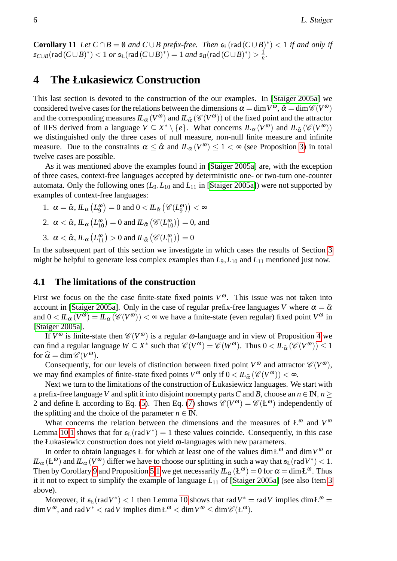**Corollary 11** *Let*  $C \cap B = \emptyset$  *and*  $C \cup B$  *prefix-free. Then*  $\mathfrak{s}_L(\text{rad}(C \cup B)^*) < 1$  *if and only if*  $\mathfrak{s}_{C\cup B}(\mathsf{rad}\,(C\cup B)^*) < 1$   $or$   $\mathfrak{s}_{\mathrm{L}}(\mathsf{rad}\,(C\cup B)^*) = 1$   $and$   $\mathfrak{s}_{B}(\mathsf{rad}\,(C\cup B)^*) > \frac{1}{n}$  $\frac{1}{n}$ .

## **4 The Łukasiewicz Construction**

This last section is devoted to the construction of the our examples. In [\[Staiger 2005a\]](#page-10-2) we considered twelve cases for the relations between the dimensions  $\alpha = \dim V^{\omega}$ ,  $\hat{\alpha} = \dim \mathscr{C}(V^{\omega})$ and the corresponding measures  $lL_{\alpha}(V^{\omega})$  and  $lL_{\hat{\alpha}}(\mathscr{C}(V^{\omega}))$  of the fixed point and the attractor of IIFS derived from a language  $V \subseteq X^* \setminus \{e\}$ . What concerns  $IL_{\alpha}(V^{\omega})$  and  $IL_{\hat{\alpha}}(\mathscr{C}(V^{\omega}))$ we distinguished only the three cases of null measure, non-null finite measure and infinite measure. Due to the constraints  $\alpha \leq \hat{\alpha}$  and  $\mathit{IL}_{\alpha}(V^{\omega}) \leq 1 < \infty$  (see Proposition [3\)](#page-4-1) in total twelve cases are possible.

As it was mentioned above the examples found in [\[Staiger 2005a\]](#page-10-2) are, with the exception of three cases, context-free languages accepted by deterministic one- or two-turn one-counter automata. Only the following ones (*L*9,*L*<sup>10</sup> and *L*<sup>11</sup> in [\[Staiger 2005a\]](#page-10-2)) were not supported by examples of context-free languages:

<span id="page-7-2"></span><span id="page-7-1"></span>1.  $\alpha = \hat{\alpha}$ ,  $\mathcal{L}_{\alpha}(L_9^{\omega}) = 0$  and  $0 < \mathcal{L}_{\hat{\alpha}}(\mathscr{C}(L_9^{\omega})) < \infty$ 2.  $\alpha < \hat{\alpha}$ ,  $\mathit{IL}_{\alpha}\left(L_{10}^{\omega}\right) = 0$  and  $\mathit{IL}_{\hat{\alpha}}\left(\mathscr{C}(L_{10}^{\omega})\right) = 0$ , and 3.  $\alpha < \hat{\alpha}$ ,  $\mathcal{L}_{\alpha} (L_{11}^{\omega}) > 0$  and  $\mathcal{L}_{\hat{\alpha}} (\mathscr{C}(L_{11}^{\omega})) = 0$ 

<span id="page-7-0"></span>In the subsequent part of this section we investigate in which cases the results of Section [3](#page-5-9) might be helpful to generate less complex examples than *L*9,*L*<sup>10</sup> and *L*<sup>11</sup> mentioned just now.

### **4.1 The limitations of the construction**

First we focus on the the case finite-state fixed points  $V^{\omega}$ . This issue was not taken into account in [\[Staiger 2005a\]](#page-10-2). Only in the case of regular prefix-free languages *V* where  $\alpha = \hat{\alpha}$ and  $0 < I\!L_{\alpha}(V^{\omega}) = I\!L_{\alpha}(\mathscr{C}(V^{\omega})) < \infty$  we have a finite-state (even regular) fixed point  $V^{\omega}$  in [\[Staiger 2005a\]](#page-10-2).

If  $V^{\omega}$  is finite-state then  $\mathscr{C}(V^{\omega})$  is a regular  $\omega$ -language and in view of Proposition [4](#page-4-2) we can find a regular language  $W \subseteq X^*$  such that  $\mathcal{C}(V^{\omega}) = \mathcal{C}(W^{\omega})$ . Thus  $0 < IL_{\hat{\alpha}}(\mathcal{C}(V^{\omega})) \le 1$ for  $\hat{\alpha} = \dim \mathcal{C}(V^{\omega})$ .<br>Consequently, for

Consequently, for our levels of distinction between fixed point  $V^{\omega}$  and attractor  $\mathscr{C}(V^{\omega})$ , we may find examples of finite-state fixed points  $V^{\omega}$  only if  $0 < I\!L_{\hat{\alpha}}(\mathscr{C}(V^{\omega})) < \infty$ .<br>Nove turn to the limitations of the construction of kulteriarized proposes. We

Next we turn to the limitations of the construction of Łukasiewicz languages. We start with a prefix-free language *V* and split it into disjoint nonempty parts *C* and *B*, choose an  $n \in \mathbb{N}$ ,  $n \geq$ 2 and define Ł according to Eq. [\(5\)](#page-5-2). Then Eq. [\(7\)](#page-5-10) shows  $\mathscr{C}(V^{\omega}) = \mathscr{C}(L^{\omega})$  independently of the splitting and the choice of the parameter  $n \in \mathbb{N}$ .

What concerns the relation between the dimensions and the measures of  $L^{\omega}$  and  $V^{\omega}$ Lemma [10](#page-6-4)[.1](#page-6-5) shows that for  $\mathfrak{s}_{k}(\text{rad }V^*) = 1$  these values coincide. Consequently, in this case the Łukasiewicz construction does not yield  $\omega$ -languages with new parameters.

In order to obtain languages *Ł* for which at least one of the values dim $L^{\omega}$  and dim $V^{\omega}$  or  $I\!I\!L_\alpha(\mathsf{L}^\omega)$  and  $I\!I\!L_\alpha(V^\omega)$  differ we have to choose our splitting in such a way that  $\mathfrak{s}_L(\mathsf{rad}V^*)$  < 1. Then by Corollary [9](#page-6-3) and Proposition [5](#page-4-3)[.1](#page-4-4) we get necessarily  $IL_{\alpha}$  ( $L^{\omega}$ ) = 0 for  $\alpha = \dim L^{\omega}$ . Thus it it not to expect to simplify the example of language *L*<sup>11</sup> of [\[Staiger 2005a\]](#page-10-2) (see also Item [3](#page-7-0) above).

Moreover, if  $\mathfrak{s}_{L}(\text{rad }V^*)$  < 1 then Lemma [10](#page-6-4) shows that rad  $V^* = \text{rad }V$  implies  $\dim L^{\omega} =$  $\dim V^{\omega}$ , and rad  $V^* <$  rad  $V$  implies  $\dim \mathcal{L}^{\omega} < \dim V^{\omega} \leq \dim \mathscr{C}(\mathcal{L}^{\omega})$ .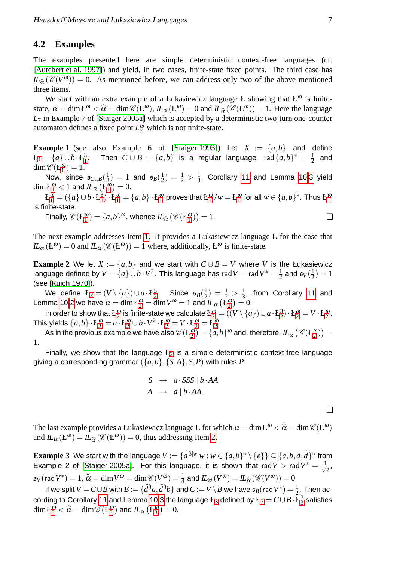#### **4.2 Examples**

The examples presented here are simple deterministic context-free languages (cf. [\[Autebert et al. 1997\]](#page-9-4)) and yield, in two cases, finite-state fixed points. The third case has  $I\!I_{\hat{\alpha}} (\mathscr{C}(V^{\omega})) = 0$ . As mentioned before, we can address only two of the above mentioned throw three items.

We start with an extra example of a Łukasiewicz language Ł showing that  $L^{\omega}$  is finitestate,  $\alpha = \dim E^{\omega} < \hat{\alpha} = \dim \mathcal{C}(E^{\omega})$ ,  $\mathcal{L}_{\alpha}(E^{\omega}) = 0$  and  $\mathcal{L}_{\hat{\alpha}}(\mathcal{C}(E^{\omega})) = 1$ . Here the language *L*<sup>7</sup> in Example 7 of [\[Staiger 2005a\]](#page-10-2) which is accepted by a deterministic two-turn one-counter automaton defines a fixed point  $L^{\omega}_{7}$  which is not finite-state.

<span id="page-8-0"></span>**Example 1** (see also Example 6 of [\[Staiger 1993\]](#page-10-7)) Let  $X := \{a,b\}$  and define  $L_1 = \{a\} \cup b \cdot L_1^3$  $L_1 = \{a\} \cup b \cdot L_1^3$  $L_1 = \{a\} \cup b \cdot L_1^3$ [1](#page-8-0) . Then  $C \cup B = \{a,b\}$  is a regular language, rad  $\{a,b\}^* = \frac{1}{2}$  $\frac{1}{2}$  and  $\dim \mathscr{C}(\mathbf{L}_1^{\boldsymbol{\omega}}) = 1.$  $\dim \mathscr{C}(\mathbf{L}_1^{\boldsymbol{\omega}}) = 1.$  $\dim \mathscr{C}(\mathbf{L}_1^{\boldsymbol{\omega}}) = 1.$ 

Now, since s*C*∪*B*( 1  $(\frac{1}{2})$  = 1 and  $\mathfrak{s}_B(\frac{1}{2})$  $(\frac{1}{2}) = \frac{1}{2} > \frac{1}{3}$  $\frac{1}{3}$ , Corollary [11](#page-6-6) and Lemma [10](#page-6-4)[.3](#page-6-7) yield  $\dim \mathcal{L}_1^{\boldsymbol{\omega}} < 1$  $\dim \mathcal{L}_1^{\boldsymbol{\omega}} < 1$  $\dim \mathcal{L}_1^{\boldsymbol{\omega}} < 1$  and  $lL_{\alpha}\left( \mathcal{L}_1^{\overline{\boldsymbol{\omega}}} \right) = 0.$ 

 $L_1^{\omega} = (\{a\} \cup b \cdot L_1^3)$  $L_1^{\omega} = (\{a\} \cup b \cdot L_1^3)$  $L_1^{\omega} = (\{a\} \cup b \cdot L_1^3)$  $\mathcal{L}_1^0 \cdot \mathcal{L}_2^{\omega} = \{a, b\} \cdot \mathcal{L}_1^{\omega}$  $\mathcal{L}_1^0 \cdot \mathcal{L}_2^{\omega} = \{a, b\} \cdot \mathcal{L}_1^{\omega}$  $\mathcal{L}_1^0 \cdot \mathcal{L}_2^{\omega} = \{a, b\} \cdot \mathcal{L}_1^{\omega}$  proves that  $\mathcal{L}_1^{\omega}/w = \mathcal{L}_1^{\omega}$  for all  $w \in \{a, b\}^*$ . Thus  $\mathcal{L}_1^{\omega}$ is finite-state.

Finally,  $\mathscr{C}(E_1^{\omega}) = \{a, b\}^{\omega}$  $\mathscr{C}(E_1^{\omega}) = \{a, b\}^{\omega}$  $\mathscr{C}(E_1^{\omega}) = \{a, b\}^{\omega}$ , whence  $IL_{\widehat{\alpha}}(\mathscr{C}(E_1^{\omega})) = 1$ .

The next example addresses Item [1.](#page-7-1) It provides a Łukasiewicz language Ł for the case that  $IL_{\alpha}$  ( $L^{\omega}$ ) = 0 and  $IL_{\alpha}$  ( $\mathscr{C}(L^{\omega})$ ) = 1 where, additionally,  $L^{\omega}$  is finite-state.

**Example 2** We let  $X := \{a, b\}$  and we start with  $C \cup B = V$  where *V* is the Łukasiewicz language defined by  $V = \{a\} \cup b \cdot V^2.$  This language has  $\mathsf{rad}\, V = \mathsf{rad}\, V^* = \frac{1}{2}$  $\frac{1}{2}$  and  $\mathfrak{s}_V(\frac{1}{2})$  $(\frac{1}{2}) = 1$ (see [\[Kuich 1970\]](#page-9-6)).

We define  $\mathcal{L}_2 = (V \setminus \{a\}) \cup a \cdot \mathcal{L}_2^3$  $\mathcal{L}_2 = (V \setminus \{a\}) \cup a \cdot \mathcal{L}_2^3$  $\mathcal{L}_2 = (V \setminus \{a\}) \cup a \cdot \mathcal{L}_2^3$  $\frac{3}{2}$  $\frac{3}{2}$  $\frac{3}{2}$ . Since  $\mathfrak{s}_B(\frac{1}{2})$  $(\frac{1}{2}) = \frac{1}{2} > \frac{1}{3}$  $\frac{1}{3}$ , from Corollary [11](#page-6-6) and Lemma [10](#page-6-4)[.2](#page-6-8) we have  $\alpha = \dim \c{L}_2^{\omega} = \dim V^{\omega} = 1$  $\alpha = \dim \c{L}_2^{\omega} = \dim V^{\omega} = 1$  $\alpha = \dim \c{L}_2^{\omega} = \dim V^{\omega} = 1$  and  $I\!I_{\alpha}\left(\c{L}_2^{\omega}\right) = 0.$ 

In order to show that  $\text{L}_2^\omega$  $\text{L}_2^\omega$  $\text{L}_2^\omega$  is finite-state we calculate  $\text{L}_2^\omega=((V\setminus\{a\})\cup a\cdot \text{L}_2^3)$  $L_2^2$  $L_2^2$  $L_2^2$   $\cdot$   $L_2^{\omega}$   $=$   $V \cdot L_2^{\omega}$ . This yields  $\{a,b\}\cdot \mathbf{L}_2^{\omega}=a\cdot \mathbf{L}_2^{\omega}\cup b\cdot V^2\cdot \mathbf{L}_2^{\omega}=V\cdot \mathbf{L}_2^{\omega}=\bar{\mathbf{L}_2^{\omega}}.$  $\{a,b\}\cdot \mathbf{L}_2^{\omega}=a\cdot \mathbf{L}_2^{\omega}\cup b\cdot V^2\cdot \mathbf{L}_2^{\omega}=V\cdot \mathbf{L}_2^{\omega}=\bar{\mathbf{L}_2^{\omega}}.$  $\{a,b\}\cdot \mathbf{L}_2^{\omega}=a\cdot \mathbf{L}_2^{\omega}\cup b\cdot V^2\cdot \mathbf{L}_2^{\omega}=V\cdot \mathbf{L}_2^{\omega}=\bar{\mathbf{L}_2^{\omega}}.$ 

As in the previous example we have also  $\mathscr{C}(\texttt{L}^\omega_2)=\{a,b\}^\omega$  $\mathscr{C}(\texttt{L}^\omega_2)=\{a,b\}^\omega$  $\mathscr{C}(\texttt{L}^\omega_2)=\{a,b\}^\omega$  and, therefore,  $\mathit{IL}_\alpha\left(\mathscr{C}(\texttt{L}^\omega_2)\right)=$ 1.

Finally, we show that the language  $L_2$  $L_2$  is a simple deterministic context-free language giving a corresponding grammar  $({a,b}, {S,A}, S, P)$  with rules P:

<span id="page-8-2"></span>
$$
S \rightarrow a \cdot SSS \mid b \cdot AA
$$
  

$$
A \rightarrow a \mid b \cdot AA
$$

<span id="page-8-1"></span>❏

The last example provides a Łukasiewicz language Ł for which  $\alpha = \dim L^{\omega} < \hat{\alpha} = \dim \mathcal{C}(L^{\omega})$ <br>and  $U(\alpha, \omega) = U(\mathcal{C}(L^{\omega})) = 0$ , thus addressing Itam 2 and  $IL_{\alpha} (E^{\omega}) = IL_{\hat{\alpha}} (\mathscr{C}(E^{\omega})) = 0$ , thus addressing Item [2.](#page-7-2)

**Example 3** We start with the language  $V := \{d^{3|w|}w : w \in \{a,b\}^* \setminus \{e\}\} \subseteq \{a,b,d,\tilde{d}\}^*$  from Example 2 of [\[Staiger 2005a\]](#page-10-2). For this language, it is shown that rad  $V > \text{rad } V^* = \frac{1}{\sqrt{2}}$  $\overline{2}$  $\mathfrak{s}_V(\text{rad }V^*) = 1$ ,  $\widehat{\alpha} = \dim V^{\omega} = \dim \mathcal{C}(V^{\omega}) = \frac{1}{4}$  and  $IL_{\widehat{\alpha}}(V^{\omega}) = IL_{\widehat{\alpha}}(\mathcal{C}(V^{\omega})) = 0$ 

If we split  $V = C \cup B$  with  $B := \{d^3a, d^3b\}$  and  $C := V \setminus B$  we have  $\mathfrak{s}_B(\text{rad }V^*) = \frac{1}{2}$ . Then ac-cording to Corollary [11](#page-6-6) and Lemma [10.](#page-6-4)[3](#page-8-2) the language  $\text{L}_3$  defined by  $\text{L}_3 = C \cup B \cdot \text{L}_3^3$  $\frac{3}{3}$  $\frac{3}{3}$  $\frac{3}{3}$  satisfies  $\dim \mathcal{L}_3^{\omega} < \widehat{\alpha} = \dim \mathscr{C}(\mathcal{L}_3^{\omega})$  $\dim \mathcal{L}_3^{\omega} < \widehat{\alpha} = \dim \mathscr{C}(\mathcal{L}_3^{\omega})$  $\dim \mathcal{L}_3^{\omega} < \widehat{\alpha} = \dim \mathscr{C}(\mathcal{L}_3^{\omega})$  and  $IL_{\alpha}(\mathcal{L}_3^{\omega}) = 0$ .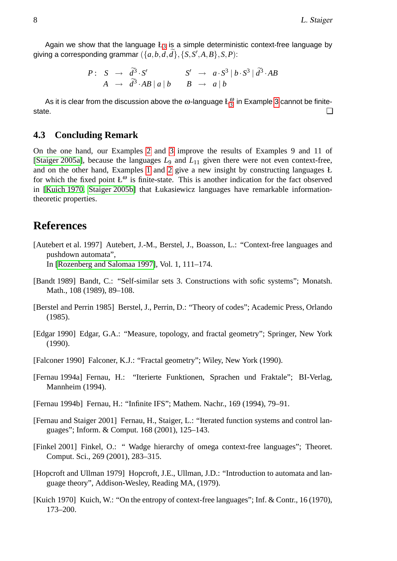Again we show that the language  $L_3$  $L_3$  is a simple deterministic context-free language by giving a corresponding grammar  $(\{a,b,d,\widetilde{d}\}, \{S,S',A,B\}, S,P)$ :

$$
P: S \rightarrow \tilde{d}^3 \cdot S'
$$
  
\n
$$
A \rightarrow \tilde{d}^3 \cdot AB \mid a \mid b
$$
  
\n
$$
S' \rightarrow a \cdot S^3 \mid b \cdot S^3 \mid \tilde{d}^3 \cdot AB
$$
  
\n
$$
B \rightarrow a \mid b
$$

As it is clear from the discussion above the  $\omega$ -language  $\mathrm{L}_3^\omega$  $\mathrm{L}_3^\omega$  $\mathrm{L}_3^\omega$  in Example [3](#page-8-2) cannot be finitestate.  $\Box$ 

### **4.3 Concluding Remark**

On the one hand, our Examples [2](#page-8-1) and [3](#page-8-2) improve the results of Examples 9 and 11 of [\[Staiger 2005a\]](#page-10-2), because the languages *L*<sup>9</sup> and *L*<sup>11</sup> given there were not even context-free, and on the other hand, Examples [1](#page-8-0) and [2](#page-8-1) give a new insight by constructing languages Ł for which the fixed point  $L^{\omega}$  is finite-state. This is another indication for the fact observed in [\[Kuich 1970,](#page-9-6) [Staiger 2005b\]](#page-10-6) that Łukasiewicz languages have remarkable informationtheoretic properties.

### **References**

<span id="page-9-4"></span>[Autebert et al. 1997] Autebert, J.-M., Berstel, J., Boasson, L.: "Context-free languages and pushdown automata",

In [\[Rozenberg and Salomaa 1997\]](#page-10-9), Vol. 1, 111–174.

- <span id="page-9-5"></span>[Bandt 1989] Bandt, C.: "Self-similar sets 3. Constructions with sofic systems"; Monatsh. Math., 108 (1989), 89–108.
- <span id="page-9-7"></span>[Berstel and Perrin 1985] Berstel, J., Perrin, D.: "Theory of codes"; Academic Press, Orlando (1985).
- <span id="page-9-0"></span>[Edgar 1990] Edgar, G.A.: "Measure, topology, and fractal geometry"; Springer, New York (1990).
- <span id="page-9-1"></span>[Falconer 1990] Falconer, K.J.: "Fractal geometry"; Wiley, New York (1990).
- <span id="page-9-2"></span>[Fernau 1994a] Fernau, H.: "Iterierte Funktionen, Sprachen und Fraktale"; BI-Verlag, Mannheim (1994).
- <span id="page-9-3"></span>[Fernau 1994b] Fernau, H.: "Infinite IFS"; Mathem. Nachr., 169 (1994), 79–91.
- <span id="page-9-10"></span>[Fernau and Staiger 2001] Fernau, H., Staiger, L.: "Iterated function systems and control languages"; Inform. & Comput. 168 (2001), 125–143.
- <span id="page-9-9"></span>[Finkel 2001] Finkel, O.: " Wadge hierarchy of omega context-free languages"; Theoret. Comput. Sci., 269 (2001), 283–315.
- <span id="page-9-8"></span>[Hopcroft and Ullman 1979] Hopcroft, J.E., Ullman, J.D.: "Introduction to automata and language theory", Addison-Wesley, Reading MA, (1979).
- <span id="page-9-6"></span>[Kuich 1970] Kuich, W.: "On the entropy of context-free languages"; Inf. & Contr., 16 (1970), 173–200.